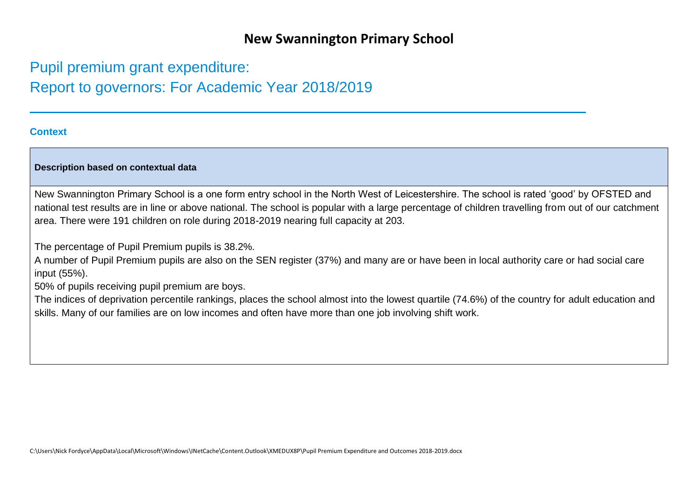## **New Swannington Primary School**

# Pupil premium grant expenditure: Report to governors: For Academic Year 2018/2019

## **Context**

### **Description based on contextual data**

New Swannington Primary School is a one form entry school in the North West of Leicestershire. The school is rated 'good' by OFSTED and national test results are in line or above national. The school is popular with a large percentage of children travelling from out of our catchment area. There were 191 children on role during 2018-2019 nearing full capacity at 203.

The percentage of Pupil Premium pupils is 38.2%.

A number of Pupil Premium pupils are also on the SEN register (37%) and many are or have been in local authority care or had social care input (55%).

50% of pupils receiving pupil premium are boys.

The indices of deprivation percentile rankings, places the school almost into the lowest quartile (74.6%) of the country for adult education and skills. Many of our families are on low incomes and often have more than one job involving shift work.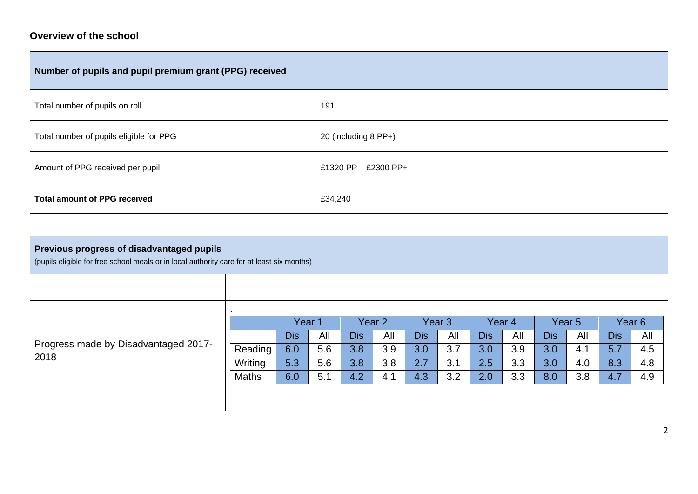## **Overview of the school**

| Number of pupils and pupil premium grant (PPG) received |                       |  |  |  |  |  |
|---------------------------------------------------------|-----------------------|--|--|--|--|--|
| Total number of pupils on roll                          | 191                   |  |  |  |  |  |
| Total number of pupils eligible for PPG                 | 20 (including 8 PP+)  |  |  |  |  |  |
| Amount of PPG received per pupil                        | £1320 PP<br>£2300 PP+ |  |  |  |  |  |
| <b>Total amount of PPG received</b>                     | £34,240               |  |  |  |  |  |

| Previous progress of disadvantaged pupils<br>(pupils eligible for free school meals or in local authority care for at least six months) |              |            |     |                   |     |            |                   |            |                   |            |                   |            |                   |  |
|-----------------------------------------------------------------------------------------------------------------------------------------|--------------|------------|-----|-------------------|-----|------------|-------------------|------------|-------------------|------------|-------------------|------------|-------------------|--|
|                                                                                                                                         |              |            |     |                   |     |            |                   |            |                   |            |                   |            |                   |  |
|                                                                                                                                         |              |            |     |                   |     |            |                   |            |                   |            |                   |            |                   |  |
|                                                                                                                                         |              | Year 1     |     | Year <sub>2</sub> |     |            | Year <sub>3</sub> |            | Year <sub>4</sub> |            | Year <sub>5</sub> |            | Year <sub>6</sub> |  |
|                                                                                                                                         |              | <b>Dis</b> | All | <b>Dis</b>        | All | <b>Dis</b> | All               | <b>Dis</b> | All               | <b>Dis</b> | All               | <b>Dis</b> | All               |  |
| Progress made by Disadvantaged 2017-                                                                                                    | Reading      | 6.0        | 5.6 | 3.8               | 3.9 | 3.0        | 3.7               | 3.0        | 3.9               | 3.0        | 4.1               | 5.7        | 4.5               |  |
| 2018                                                                                                                                    | Writing      | 5.3        | 5.6 | 3.8               | 3.8 | 2.7        | 3.1               | 2.5        | 3.3               | 3.0        | 4.0               | 8.3        | 4.8               |  |
|                                                                                                                                         | <b>Maths</b> | 6.0        | 5.1 | 4.2               | 4.1 | 4.3        | 3.2               | 2.0        | 3.3               | 8.0        | 3.8               | 4.7        | 4.9               |  |
|                                                                                                                                         |              |            |     |                   |     |            |                   |            |                   |            |                   |            |                   |  |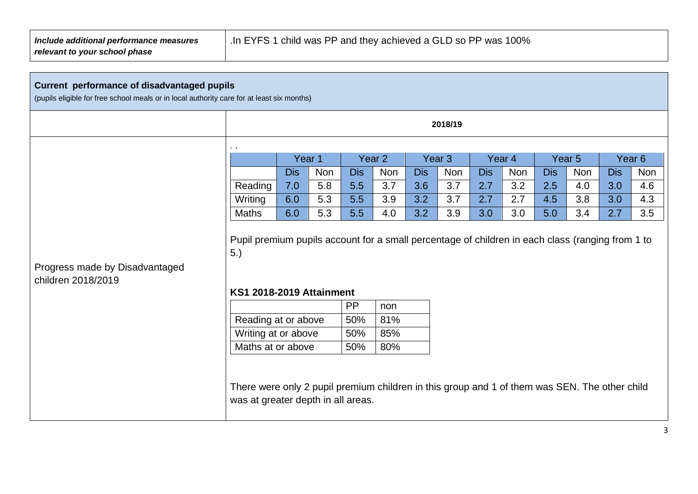## **Current performance of disadvantaged pupils**

(pupils eligible for free school meals or in local authority care for at least six months)

|                                                      |                                                                                                                                     |            |            |            |                   |            | 2018/19 |     |        |            |            |            |            |
|------------------------------------------------------|-------------------------------------------------------------------------------------------------------------------------------------|------------|------------|------------|-------------------|------------|---------|-----|--------|------------|------------|------------|------------|
|                                                      |                                                                                                                                     |            |            |            |                   |            |         |     |        |            |            |            |            |
|                                                      |                                                                                                                                     | Year 1     |            |            | Year <sub>2</sub> |            |         |     | Year 4 |            | Year 5     |            | Year 6     |
|                                                      |                                                                                                                                     | <b>Dis</b> | <b>Non</b> | <b>Dis</b> | <b>Non</b>        | <b>Dis</b> | Non     | Dis | Non    | <b>Dis</b> | <b>Non</b> | <b>Dis</b> | <b>Non</b> |
|                                                      | Reading                                                                                                                             | 7.0        | 5.8        | 5.5        | 3.7               | 3.6        | 3.7     | 2.7 | 3.2    | 2.5        | 4.0        | 3.0        | 4.6        |
|                                                      | Writing                                                                                                                             | 6.0        | 5.3        | 5.5        | 3.9               | 3.2        | 3.7     | 2.7 | 2.7    | 4.5        | 3.8        | 3.0        | 4.3        |
|                                                      | Maths                                                                                                                               | 6.0        | 5.3        | 5.5        | 4.0               | 3.2        | 3.9     | 3.0 | 3.0    | 5.0        | 3.4        | 2.7        | 3.5        |
| Progress made by Disadvantaged<br>children 2018/2019 | 5.)<br><b>KS1 2018-2019 Attainment</b>                                                                                              |            |            |            |                   |            |         |     |        |            |            |            |            |
|                                                      |                                                                                                                                     |            |            | <b>PP</b>  | non               |            |         |     |        |            |            |            |            |
|                                                      | Reading at or above                                                                                                                 |            |            | 50%        | 81%               |            |         |     |        |            |            |            |            |
|                                                      | Writing at or above                                                                                                                 |            |            | 50%        | 85%               |            |         |     |        |            |            |            |            |
|                                                      | Maths at or above                                                                                                                   |            |            | 50%        | 80%               |            |         |     |        |            |            |            |            |
|                                                      | There were only 2 pupil premium children in this group and 1 of them was SEN. The other child<br>was at greater depth in all areas. |            |            |            |                   |            |         |     |        |            |            |            |            |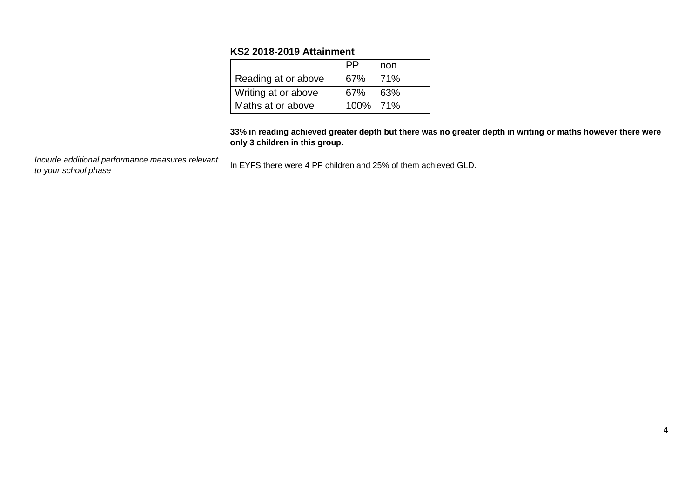|                                                                          | <b>KS2 2018-2019 Attainment</b>                                |           |     |                                                                                                             |
|--------------------------------------------------------------------------|----------------------------------------------------------------|-----------|-----|-------------------------------------------------------------------------------------------------------------|
|                                                                          |                                                                | <b>PP</b> | non |                                                                                                             |
|                                                                          | Reading at or above                                            | 67%       | 71% |                                                                                                             |
|                                                                          | Writing at or above                                            | 67%       | 63% |                                                                                                             |
|                                                                          | Maths at or above                                              | 100%      | 71% |                                                                                                             |
|                                                                          | only 3 children in this group.                                 |           |     | 33% in reading achieved greater depth but there was no greater depth in writing or maths however there were |
| Include additional performance measures relevant<br>to your school phase | In EYFS there were 4 PP children and 25% of them achieved GLD. |           |     |                                                                                                             |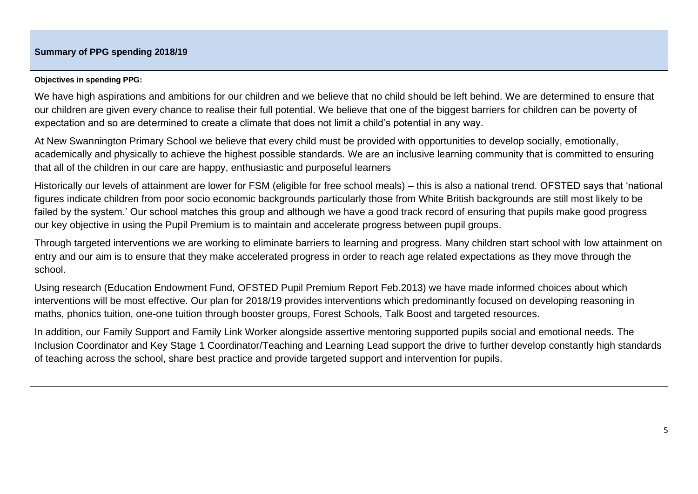## **Summary of PPG spending 2018/19**

#### **Objectives in spending PPG:**

We have high aspirations and ambitions for our children and we believe that no child should be left behind. We are determined to ensure that our children are given every chance to realise their full potential. We believe that one of the biggest barriers for children can be poverty of expectation and so are determined to create a climate that does not limit a child's potential in any way.

At New Swannington Primary School we believe that every child must be provided with opportunities to develop socially, emotionally, academically and physically to achieve the highest possible standards. We are an inclusive learning community that is committed to ensuring that all of the children in our care are happy, enthusiastic and purposeful learners

Historically our levels of attainment are lower for FSM (eligible for free school meals) – this is also a national trend. OFSTED says that 'national figures indicate children from poor socio economic backgrounds particularly those from White British backgrounds are still most likely to be failed by the system.' Our school matches this group and although we have a good track record of ensuring that pupils make good progress our key objective in using the Pupil Premium is to maintain and accelerate progress between pupil groups.

Through targeted interventions we are working to eliminate barriers to learning and progress. Many children start school with low attainment on entry and our aim is to ensure that they make accelerated progress in order to reach age related expectations as they move through the school.

Using research (Education Endowment Fund, OFSTED Pupil Premium Report Feb.2013) we have made informed choices about which interventions will be most effective. Our plan for 2018/19 provides interventions which predominantly focused on developing reasoning in maths, phonics tuition, one-one tuition through booster groups, Forest Schools, Talk Boost and targeted resources.

In addition, our Family Support and Family Link Worker alongside assertive mentoring supported pupils social and emotional needs. The Inclusion Coordinator and Key Stage 1 Coordinator/Teaching and Learning Lead support the drive to further develop constantly high standards of teaching across the school, share best practice and provide targeted support and intervention for pupils.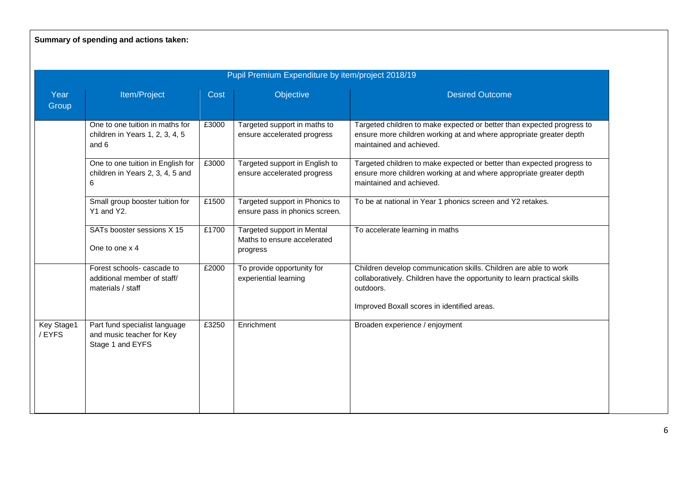**Summary of spending and actions taken:**

| Pupil Premium Expenditure by item/project 2018/19 |                                                                                |       |                                                                       |                                                                                                                                                                                                          |  |  |  |
|---------------------------------------------------|--------------------------------------------------------------------------------|-------|-----------------------------------------------------------------------|----------------------------------------------------------------------------------------------------------------------------------------------------------------------------------------------------------|--|--|--|
| Year<br>Group                                     | Item/Project                                                                   | Cost  | Objective                                                             | <b>Desired Outcome</b>                                                                                                                                                                                   |  |  |  |
|                                                   | One to one tuition in maths for<br>children in Years 1, 2, 3, 4, 5<br>and 6    | £3000 | Targeted support in maths to<br>ensure accelerated progress           | Targeted children to make expected or better than expected progress to<br>ensure more children working at and where appropriate greater depth<br>maintained and achieved.                                |  |  |  |
|                                                   | One to one tuition in English for<br>children in Years 2, 3, 4, 5 and<br>6     | £3000 | Targeted support in English to<br>ensure accelerated progress         | Targeted children to make expected or better than expected progress to<br>ensure more children working at and where appropriate greater depth<br>maintained and achieved.                                |  |  |  |
|                                                   | Small group booster tuition for<br>Y1 and Y2.                                  | £1500 | Targeted support in Phonics to<br>ensure pass in phonics screen.      | To be at national in Year 1 phonics screen and Y2 retakes.                                                                                                                                               |  |  |  |
|                                                   | SATs booster sessions X 15<br>One to one x 4                                   | £1700 | Targeted support in Mental<br>Maths to ensure accelerated<br>progress | To accelerate learning in maths                                                                                                                                                                          |  |  |  |
|                                                   | Forest schools- cascade to<br>additional member of staff/<br>materials / staff | £2000 | To provide opportunity for<br>experiential learning                   | Children develop communication skills. Children are able to work<br>collaboratively. Children have the opportunity to learn practical skills<br>outdoors.<br>Improved Boxall scores in identified areas. |  |  |  |
| Key Stage1<br>/EYFS                               | Part fund specialist language<br>and music teacher for Key<br>Stage 1 and EYFS | £3250 | Enrichment                                                            | Broaden experience / enjoyment                                                                                                                                                                           |  |  |  |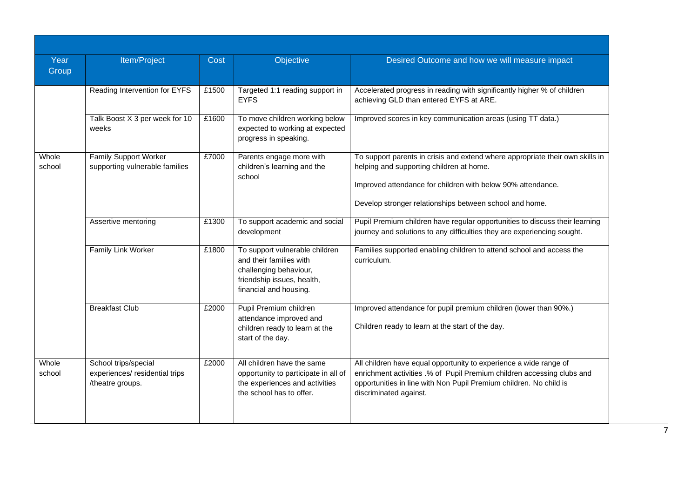| Year<br>Group   | Item/Project                                                               | Cost  | Objective                                                                                                                                   | Desired Outcome and how we will measure impact                                                                                                                                                                                                      |
|-----------------|----------------------------------------------------------------------------|-------|---------------------------------------------------------------------------------------------------------------------------------------------|-----------------------------------------------------------------------------------------------------------------------------------------------------------------------------------------------------------------------------------------------------|
|                 | Reading Intervention for EYFS                                              | £1500 | Targeted 1:1 reading support in<br><b>EYFS</b>                                                                                              | Accelerated progress in reading with significantly higher % of children<br>achieving GLD than entered EYFS at ARE.                                                                                                                                  |
|                 | Talk Boost X 3 per week for 10<br>weeks                                    | £1600 | To move children working below<br>expected to working at expected<br>progress in speaking.                                                  | Improved scores in key communication areas (using TT data.)                                                                                                                                                                                         |
| Whole<br>school | Family Support Worker<br>supporting vulnerable families                    | £7000 | Parents engage more with<br>children's learning and the<br>school                                                                           | To support parents in crisis and extend where appropriate their own skills in<br>helping and supporting children at home.<br>Improved attendance for children with below 90% attendance.<br>Develop stronger relationships between school and home. |
|                 | Assertive mentoring                                                        | £1300 | To support academic and social<br>development                                                                                               | Pupil Premium children have regular opportunities to discuss their learning<br>journey and solutions to any difficulties they are experiencing sought.                                                                                              |
|                 | <b>Family Link Worker</b>                                                  | £1800 | To support vulnerable children<br>and their families with<br>challenging behaviour,<br>friendship issues, health,<br>financial and housing. | Families supported enabling children to attend school and access the<br>curriculum.                                                                                                                                                                 |
|                 | <b>Breakfast Club</b>                                                      | £2000 | Pupil Premium children<br>attendance improved and<br>children ready to learn at the<br>start of the day.                                    | Improved attendance for pupil premium children (lower than 90%.)<br>Children ready to learn at the start of the day.                                                                                                                                |
| Whole<br>school | School trips/special<br>experiences/ residential trips<br>/theatre groups. | £2000 | All children have the same<br>opportunity to participate in all of<br>the experiences and activities<br>the school has to offer.            | All children have equal opportunity to experience a wide range of<br>enrichment activities .% of Pupil Premium children accessing clubs and<br>opportunities in line with Non Pupil Premium children. No child is<br>discriminated against.         |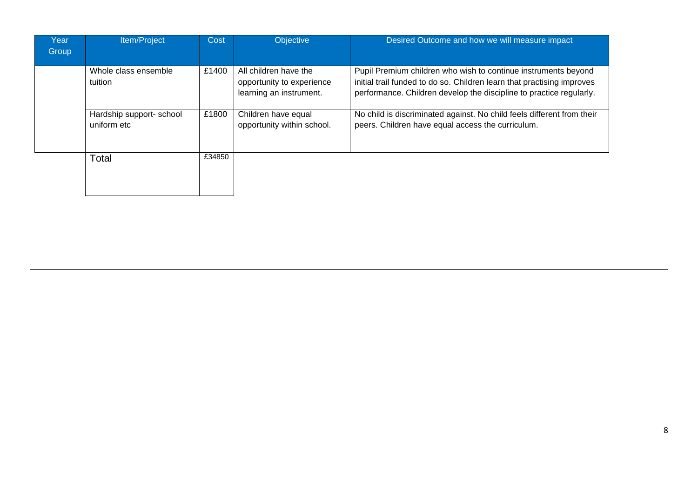| Whole class ensemble<br>tuition         | £1400  | All children have the<br>opportunity to experience | Pupil Premium children who wish to continue instruments beyond<br>initial trail funded to do so. Children learn that practising improves |
|-----------------------------------------|--------|----------------------------------------------------|------------------------------------------------------------------------------------------------------------------------------------------|
|                                         |        | learning an instrument.                            | performance. Children develop the discipline to practice regularly.                                                                      |
| Hardship support- school<br>uniform etc | £1800  | Children have equal<br>opportunity within school.  | No child is discriminated against. No child feels different from their<br>peers. Children have equal access the curriculum.              |
| Total                                   | £34850 |                                                    |                                                                                                                                          |
|                                         |        |                                                    |                                                                                                                                          |